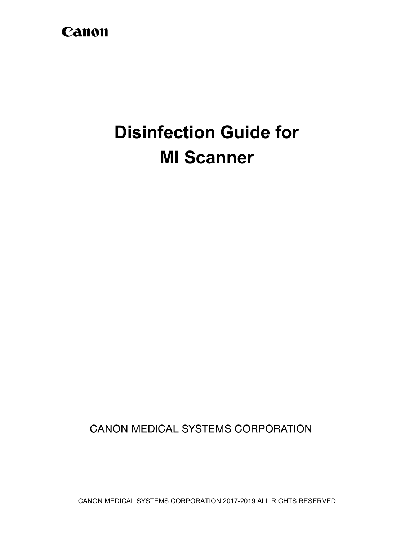# Canon

# **Disinfection Guide for MI Scanner**

**CANON MEDICAL SYSTEMS CORPORATION**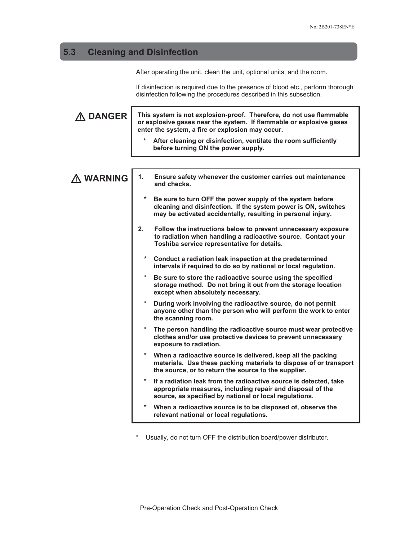## **5.3 Cleaning and Disinfection**

After operating the unit, clean the unit, optional units, and the room.

If disinfection is required due to the presence of blood etc., perform thorough disinfection following the procedures described in this subsection.

| A DANGER  | This system is not explosion-proof. Therefore, do not use flammable<br>or explosive gases near the system. If flammable or explosive gases<br>enter the system, a fire or explosion may occur.<br>After cleaning or disinfection, ventilate the room sufficiently |
|-----------|-------------------------------------------------------------------------------------------------------------------------------------------------------------------------------------------------------------------------------------------------------------------|
|           | before turning ON the power supply.                                                                                                                                                                                                                               |
|           |                                                                                                                                                                                                                                                                   |
| A WARNING | 1.<br>Ensure safety whenever the customer carries out maintenance<br>and checks.                                                                                                                                                                                  |
|           | $\ast$<br>Be sure to turn OFF the power supply of the system before<br>cleaning and disinfection. If the system power is ON, switches<br>may be activated accidentally, resulting in personal injury.                                                             |
|           | 2.<br>Follow the instructions below to prevent unnecessary exposure<br>to radiation when handling a radioactive source. Contact your<br>Toshiba service representative for details.                                                                               |
|           | $\star$<br>Conduct a radiation leak inspection at the predetermined<br>intervals if required to do so by national or local regulation.                                                                                                                            |
|           | $\ast$<br>Be sure to store the radioactive source using the specified<br>storage method. Do not bring it out from the storage location<br>except when absolutely necessary.                                                                                       |
|           | $\ast$<br>During work involving the radioactive source, do not permit<br>anyone other than the person who will perform the work to enter<br>the scanning room.                                                                                                    |
|           | The person handling the radioactive source must wear protective<br>clothes and/or use protective devices to prevent unnecessary<br>exposure to radiation.                                                                                                         |
|           | $\star$<br>When a radioactive source is delivered, keep all the packing<br>materials. Use these packing materials to dispose of or transport<br>the source, or to return the source to the supplier.                                                              |
|           | $\ast$<br>If a radiation leak from the radioactive source is detected, take<br>appropriate measures, including repair and disposal of the<br>source, as specified by national or local regulations.                                                               |
|           | $\ast$<br>When a radioactive source is to be disposed of, observe the<br>relevant national or local regulations.                                                                                                                                                  |
|           |                                                                                                                                                                                                                                                                   |

\* Usually, do not turn OFF the distribution board/power distributor.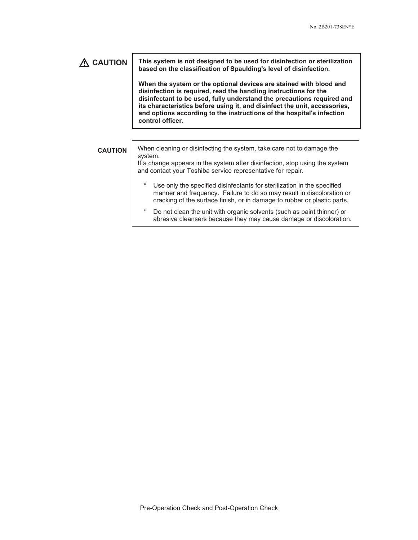### **CAUTION This system is not designed to be used for disinfection or sterilization based on the classification of Spaulding's level of disinfection. When the system or the optional devices are stained with blood and disinfection is required, read the handling instructions for the disinfectant to be used, fully understand the precautions required and its characteristics before using it, and disinfect the unit, accessories, and options according to the instructions of the hospital's infection control officer. CAUTION** When cleaning or disinfecting the system, take care not to damage the system. If a change appears in the system after disinfection, stop using the system and contact your Toshiba service representative for repair. Use only the specified disinfectants for sterilization in the specified manner and frequency. Failure to do so may result in discoloration or cracking of the surface finish, or in damage to rubber or plastic parts. Do not clean the unit with organic solvents (such as paint thinner) or abrasive cleansers because they may cause damage or discoloration.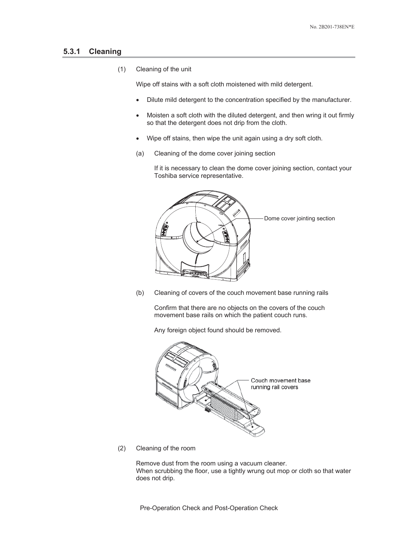#### **5.3.1 Cleaning**

(1) Cleaning of the unit

Wipe off stains with a soft cloth moistened with mild detergent.

- Dilute mild detergent to the concentration specified by the manufacturer.
- Moisten a soft cloth with the diluted detergent, and then wring it out firmly so that the detergent does not drip from the cloth.
- Wipe off stains, then wipe the unit again using a dry soft cloth.
- (a) Cleaning of the dome cover joining section

If it is necessary to clean the dome cover joining section, contact your Toshiba service representative.



(b) Cleaning of covers of the couch movement base running rails

Confirm that there are no objects on the covers of the couch movement base rails on which the patient couch runs.

Any foreign object found should be removed.



(2) Cleaning of the room

Remove dust from the room using a vacuum cleaner. When scrubbing the floor, use a tightly wrung out mop or cloth so that water does not drip.

Pre-Operation Check and Post-Operation Check